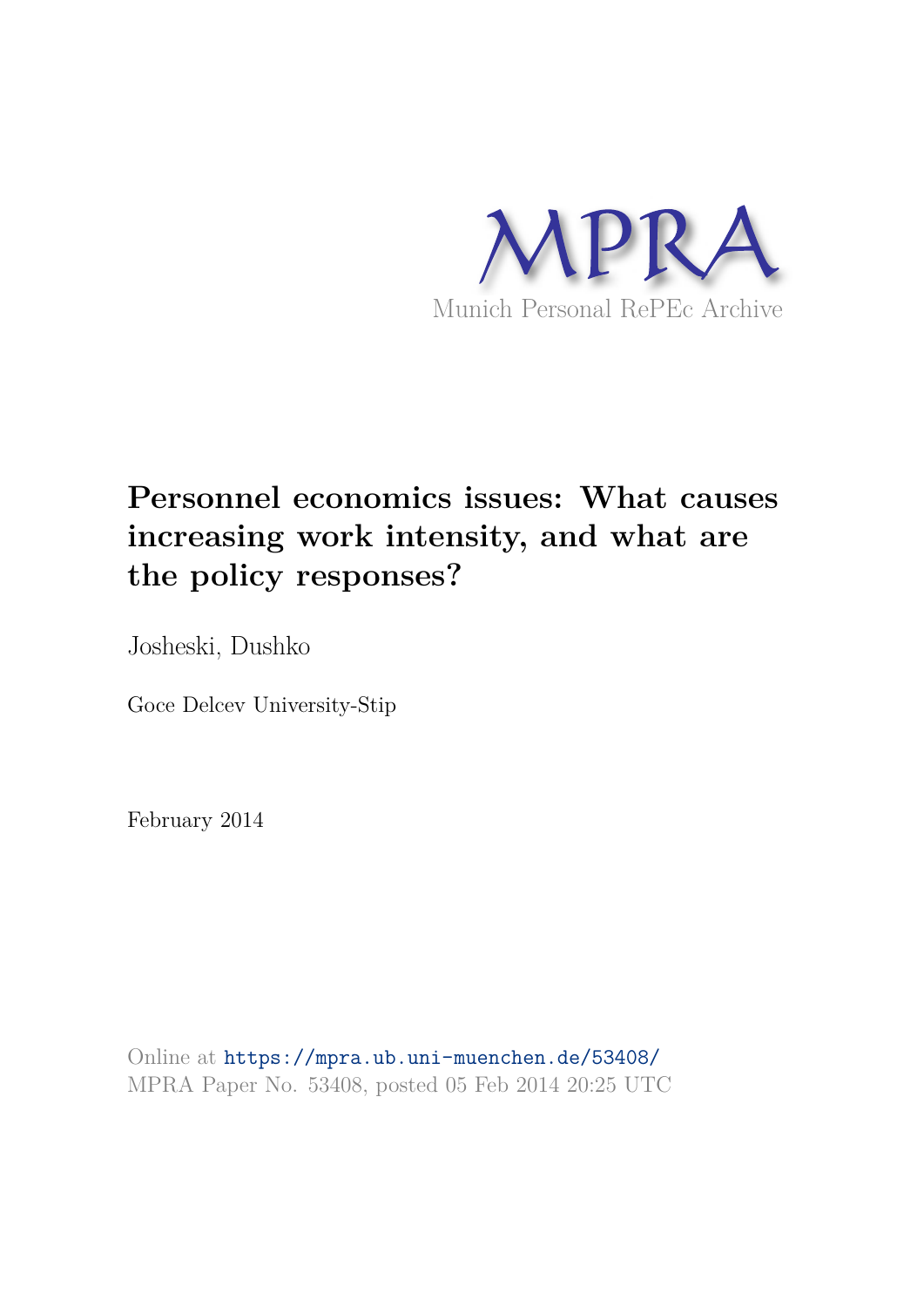

# **Personnel economics issues: What causes increasing work intensity, and what are the policy responses?**

Josheski, Dushko

Goce Delcev University-Stip

February 2014

Online at https://mpra.ub.uni-muenchen.de/53408/ MPRA Paper No. 53408, posted 05 Feb 2014 20:25 UTC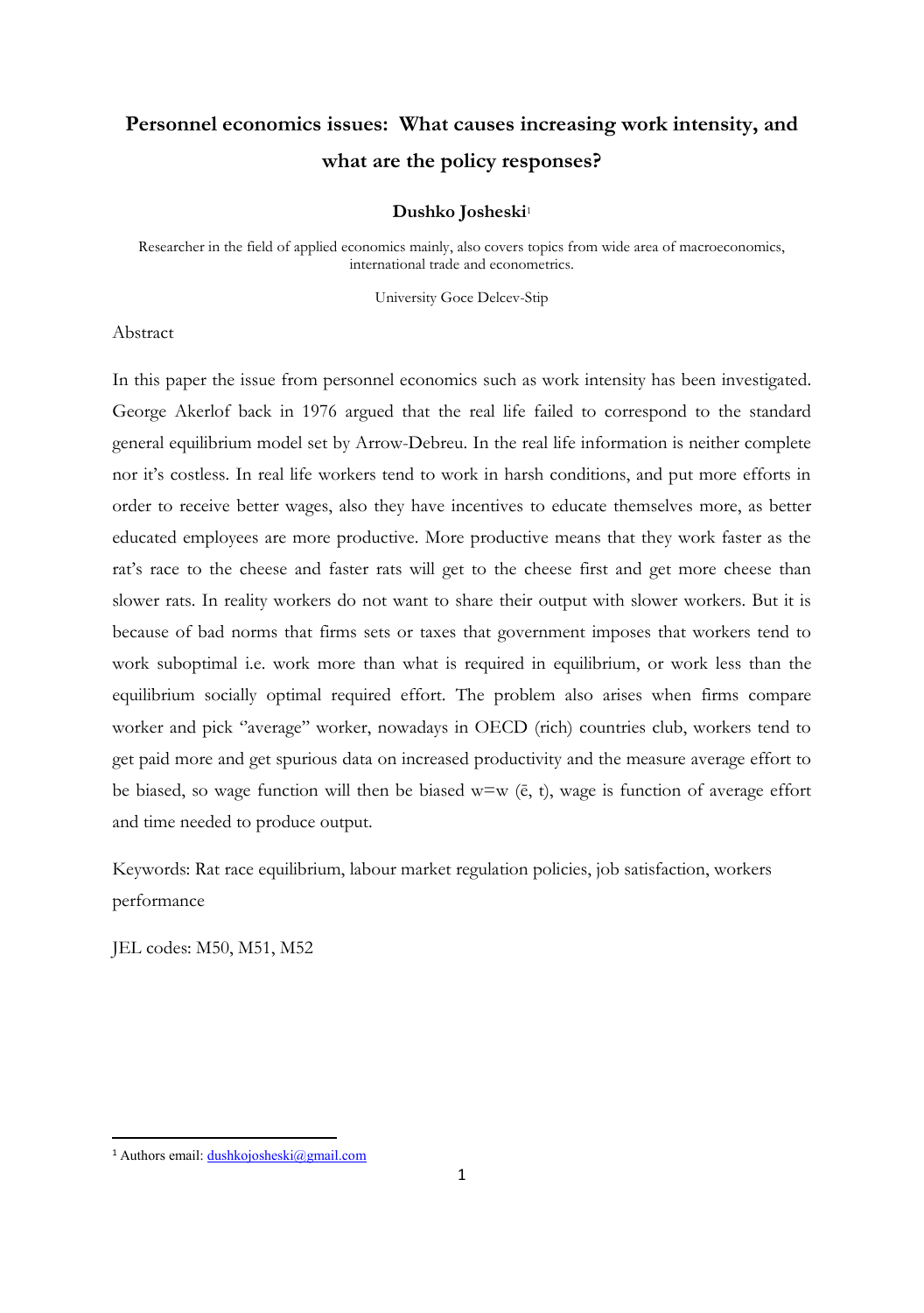## **Personnel economics issues: What causes increasing work intensity, and what are the policy responses?**

#### **Dushko Josheski**<sup>1</sup>

Researcher in the field of applied economics mainly, also covers topics from wide area of macroeconomics, international trade and econometrics.

University Goce Delcev-Stip

#### Abstract

In this paper the issue from personnel economics such as work intensity has been investigated. George Akerlof back in 1976 argued that the real life failed to correspond to the standard general equilibrium model set by Arrow-Debreu. In the real life information is neither complete nor it's costless. In real life workers tend to work in harsh conditions, and put more efforts in order to receive better wages, also they have incentives to educate themselves more, as better educated employees are more productive. More productive means that they work faster as the rat's race to the cheese and faster rats will get to the cheese first and get more cheese than slower rats. In reality workers do not want to share their output with slower workers. But it is because of bad norms that firms sets or taxes that government imposes that workers tend to work suboptimal i.e. work more than what is required in equilibrium, or work less than the equilibrium socially optimal required effort. The problem also arises when firms compare worker and pick "average" worker, nowadays in OECD (rich) countries club, workers tend to get paid more and get spurious data on increased productivity and the measure average effort to be biased, so wage function will then be biased  $w=w$  (e, t), wage is function of average effort and time needed to produce output.

Keywords: Rat race equilibrium, labour market regulation policies, job satisfaction, workers performance

JEL codes: M50, M51, M52

 $\overline{a}$ 

<sup>1</sup> Authors email: [dushkojosheski@gmail.com](mailto:dushkojosheski@gmail.com)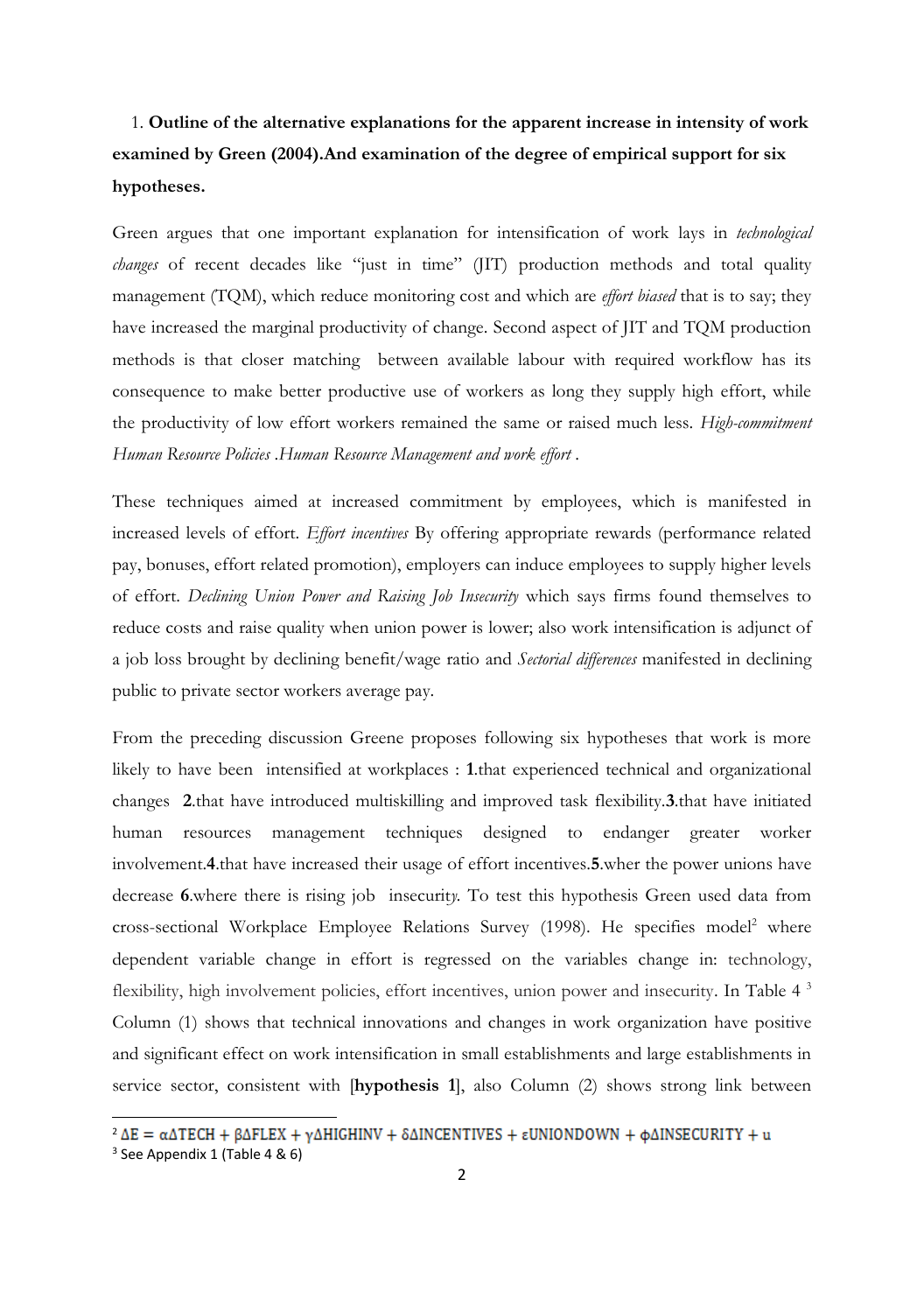### 1. **Outline of the alternative explanations for the apparent increase in intensity of work examined by Green (2004).And examination of the degree of empirical support for six hypotheses.**

Green argues that one important explanation for intensification of work lays in *technological changes* of recent decades like "just in time" (JIT) production methods and total quality management (TQM), which reduce monitoring cost and which are *effort biased* that is to say; they have increased the marginal productivity of change. Second aspect of JIT and TQM production methods is that closer matching between available labour with required workflow has its consequence to make better productive use of workers as long they supply high effort, while the productivity of low effort workers remained the same or raised much less. *High-commitment Human Resource Policies* .*Human Resource Management and work effort* .

These techniques aimed at increased commitment by employees, which is manifested in increased levels of effort. *Effort incentives* By offering appropriate rewards (performance related pay, bonuses, effort related promotion), employers can induce employees to supply higher levels of effort. *Declining Union Power and Raising Job Insecurity* which says firms found themselves to reduce costs and raise quality when union power is lower; also work intensification is adjunct of a job loss brought by declining benefit/wage ratio and *Sectorial differences* manifested in declining public to private sector workers average pay.

From the preceding discussion Greene proposes following six hypotheses that work is more likely to have been intensified at workplaces : **1**.that experienced technical and organizational changes **2**.that have introduced multiskilling and improved task flexibility.**3**.that have initiated human resources management techniques designed to endanger greater worker involvement.**4**.that have increased their usage of effort incentives.**5**.wher the power unions have decrease **6**.where there is rising job insecurit*y.* To test this hypothesis Green used data from cross-sectional Workplace Employee Relations Survey (1998). He specifies model<sup>2</sup> where dependent variable change in effort is regressed on the variables change in: technology, flexibility, high involvement policies, effort incentives, union power and insecurity. In Table 4 <sup>3</sup> Column (1) shows that technical innovations and changes in work organization have positive and significant effect on work intensification in small establishments and large establishments in service sector, consistent with [**hypothesis 1**], also Column (2) shows strong link between

 $\overline{a}$ 

 $2 \Delta E = \alpha \Delta TECH + \beta \Delta FLEX + \gamma \Delta HIGHINV + \delta \Delta INCENTIVES + \epsilon UNIONDOWN + \phi \Delta INSECURITY + u$ 3 See Appendix 1 (Table 4 & 6)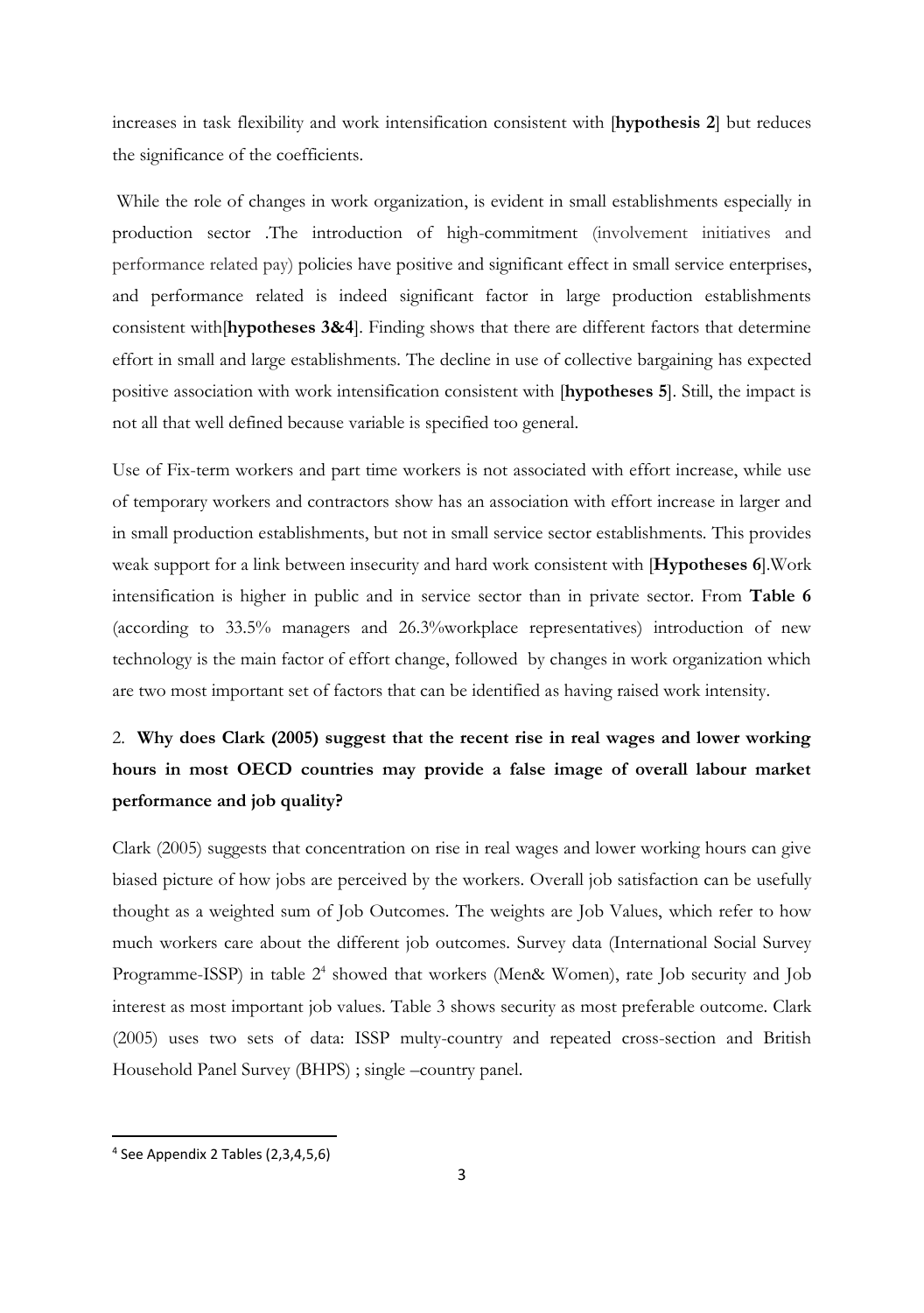increases in task flexibility and work intensification consistent with [**hypothesis 2**] but reduces the significance of the coefficients.

 While the role of changes in work organization, is evident in small establishments especially in production sector .The introduction of high-commitment (involvement initiatives and performance related pay) policies have positive and significant effect in small service enterprises, and performance related is indeed significant factor in large production establishments consistent with[**hypotheses 3&4**]. Finding shows that there are different factors that determine effort in small and large establishments. The decline in use of collective bargaining has expected positive association with work intensification consistent with [**hypotheses 5**]. Still, the impact is not all that well defined because variable is specified too general.

Use of Fix-term workers and part time workers is not associated with effort increase, while use of temporary workers and contractors show has an association with effort increase in larger and in small production establishments, but not in small service sector establishments. This provides weak support for a link between insecurity and hard work consistent with [**Hypotheses 6**].Work intensification is higher in public and in service sector than in private sector. From **Table 6** (according to 33.5% managers and 26.3%workplace representatives) introduction of new technology is the main factor of effort change, followed by changes in work organization which are two most important set of factors that can be identified as having raised work intensity.

### 2. **Why does Clark (2005) suggest that the recent rise in real wages and lower working hours in most OECD countries may provide a false image of overall labour market performance and job quality?**

Clark (2005) suggests that concentration on rise in real wages and lower working hours can give biased picture of how jobs are perceived by the workers. Overall job satisfaction can be usefully thought as a weighted sum of Job Outcomes. The weights are Job Values, which refer to how much workers care about the different job outcomes. Survey data (International Social Survey Programme-ISSP) in table 2<sup>4</sup> showed that workers (Men& Women), rate Job security and Job interest as most important job values. Table 3 shows security as most preferable outcome. Clark (2005) uses two sets of data: ISSP multy-country and repeated cross-section and British Household Panel Survey (BHPS) ; single –country panel.

l

<sup>4</sup> See Appendix 2 Tables (2,3,4,5,6)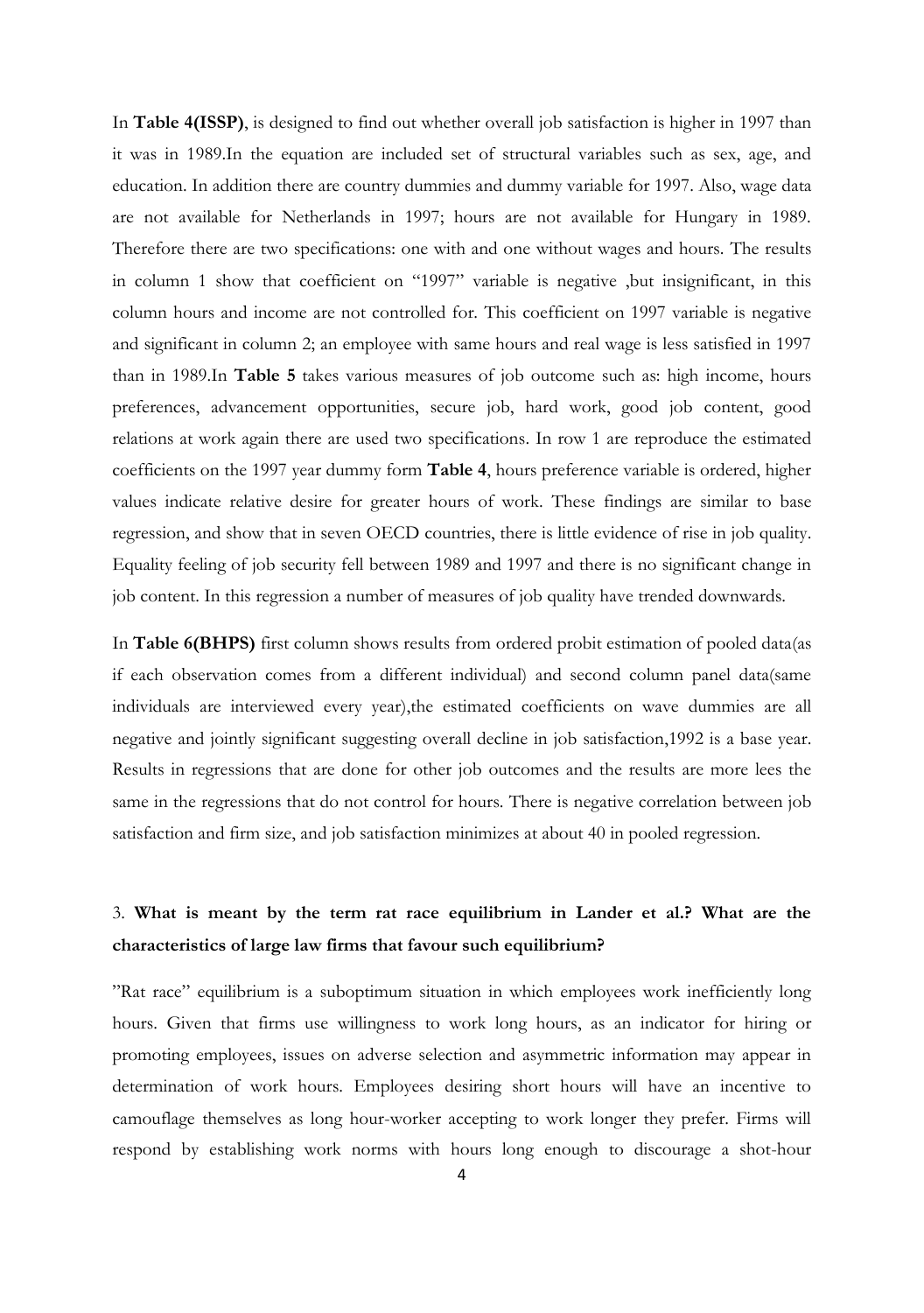In **Table 4(ISSP)**, is designed to find out whether overall job satisfaction is higher in 1997 than it was in 1989.In the equation are included set of structural variables such as sex, age, and education. In addition there are country dummies and dummy variable for 1997. Also, wage data are not available for Netherlands in 1997; hours are not available for Hungary in 1989. Therefore there are two specifications: one with and one without wages and hours. The results in column 1 show that coefficient on "1997" variable is negative ,but insignificant, in this column hours and income are not controlled for. This coefficient on 1997 variable is negative and significant in column 2; an employee with same hours and real wage is less satisfied in 1997 than in 1989.In **Table 5** takes various measures of job outcome such as: high income, hours preferences, advancement opportunities, secure job, hard work, good job content, good relations at work again there are used two specifications. In row 1 are reproduce the estimated coefficients on the 1997 year dummy form **Table 4**, hours preference variable is ordered, higher values indicate relative desire for greater hours of work. These findings are similar to base regression, and show that in seven OECD countries, there is little evidence of rise in job quality. Equality feeling of job security fell between 1989 and 1997 and there is no significant change in job content. In this regression a number of measures of job quality have trended downwards.

In **Table 6(BHPS)** first column shows results from ordered probit estimation of pooled data(as if each observation comes from a different individual) and second column panel data(same individuals are interviewed every year),the estimated coefficients on wave dummies are all negative and jointly significant suggesting overall decline in job satisfaction,1992 is a base year. Results in regressions that are done for other job outcomes and the results are more lees the same in the regressions that do not control for hours. There is negative correlation between job satisfaction and firm size, and job satisfaction minimizes at about 40 in pooled regression.

### 3. **What is meant by the term rat race equilibrium in Lander et al.? What are the characteristics of large law firms that favour such equilibrium?**

"Rat race" equilibrium is a suboptimum situation in which employees work inefficiently long hours. Given that firms use willingness to work long hours, as an indicator for hiring or promoting employees, issues on adverse selection and asymmetric information may appear in determination of work hours. Employees desiring short hours will have an incentive to camouflage themselves as long hour-worker accepting to work longer they prefer. Firms will respond by establishing work norms with hours long enough to discourage a shot-hour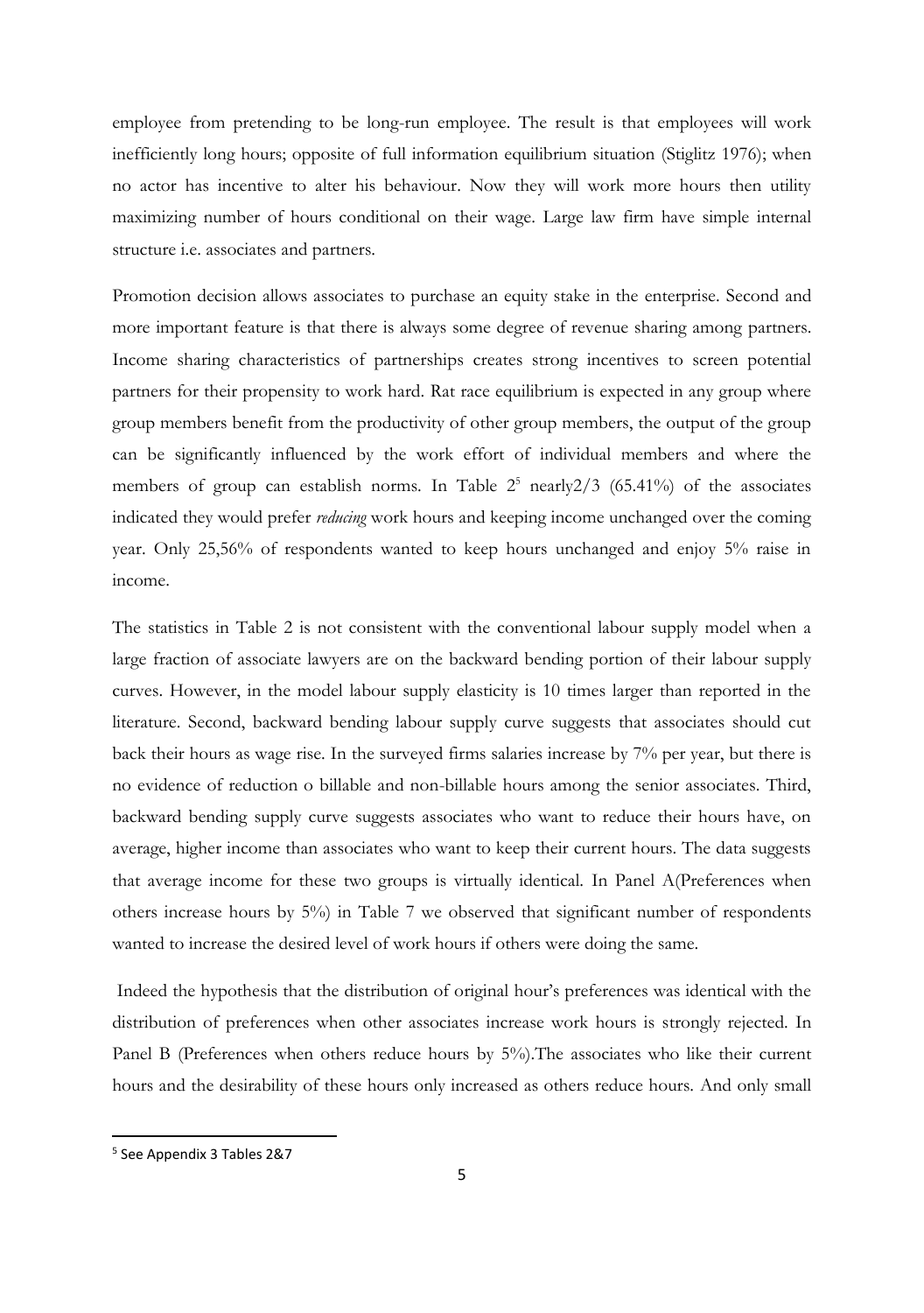employee from pretending to be long-run employee. The result is that employees will work inefficiently long hours; opposite of full information equilibrium situation (Stiglitz 1976); when no actor has incentive to alter his behaviour. Now they will work more hours then utility maximizing number of hours conditional on their wage. Large law firm have simple internal structure i.e. associates and partners.

Promotion decision allows associates to purchase an equity stake in the enterprise. Second and more important feature is that there is always some degree of revenue sharing among partners. Income sharing characteristics of partnerships creates strong incentives to screen potential partners for their propensity to work hard. Rat race equilibrium is expected in any group where group members benefit from the productivity of other group members, the output of the group can be significantly influenced by the work effort of individual members and where the members of group can establish norms. In Table  $2^5$  nearly  $2/3$  (65.41%) of the associates indicated they would prefer *reducing* work hours and keeping income unchanged over the coming year. Only 25,56% of respondents wanted to keep hours unchanged and enjoy 5% raise in income.

The statistics in Table 2 is not consistent with the conventional labour supply model when a large fraction of associate lawyers are on the backward bending portion of their labour supply curves. However, in the model labour supply elasticity is 10 times larger than reported in the literature. Second, backward bending labour supply curve suggests that associates should cut back their hours as wage rise. In the surveyed firms salaries increase by 7% per year, but there is no evidence of reduction o billable and non-billable hours among the senior associates. Third, backward bending supply curve suggests associates who want to reduce their hours have, on average, higher income than associates who want to keep their current hours. The data suggests that average income for these two groups is virtually identical. In Panel A(Preferences when others increase hours by 5%) in Table 7 we observed that significant number of respondents wanted to increase the desired level of work hours if others were doing the same.

 Indeed the hypothesis that the distribution of original hour's preferences was identical with the distribution of preferences when other associates increase work hours is strongly rejected. In Panel B (Preferences when others reduce hours by 5%).The associates who like their current hours and the desirability of these hours only increased as others reduce hours. And only small

l

<sup>5</sup> See Appendix 3 Tables 2&7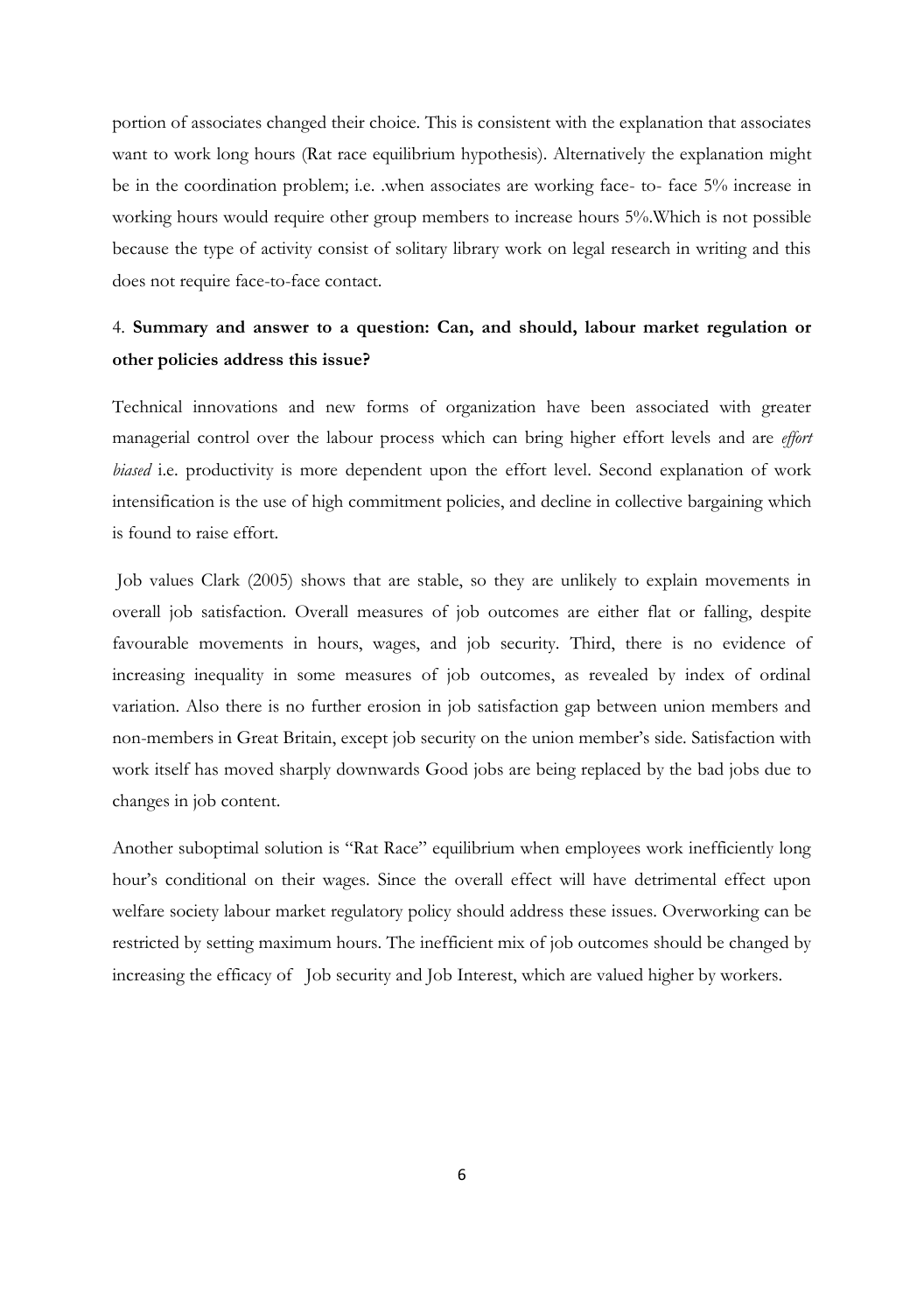portion of associates changed their choice. This is consistent with the explanation that associates want to work long hours (Rat race equilibrium hypothesis). Alternatively the explanation might be in the coordination problem; i.e. .when associates are working face- to- face 5% increase in working hours would require other group members to increase hours 5%.Which is not possible because the type of activity consist of solitary library work on legal research in writing and this does not require face-to-face contact.

### 4. **Summary and answer to a question: Can, and should, labour market regulation or other policies address this issue?**

Technical innovations and new forms of organization have been associated with greater managerial control over the labour process which can bring higher effort levels and are *effort biased* i.e. productivity is more dependent upon the effort level. Second explanation of work intensification is the use of high commitment policies, and decline in collective bargaining which is found to raise effort.

 Job values Clark (2005) shows that are stable, so they are unlikely to explain movements in overall job satisfaction. Overall measures of job outcomes are either flat or falling, despite favourable movements in hours, wages, and job security. Third, there is no evidence of increasing inequality in some measures of job outcomes, as revealed by index of ordinal variation. Also there is no further erosion in job satisfaction gap between union members and non-members in Great Britain, except job security on the union member's side. Satisfaction with work itself has moved sharply downwards Good jobs are being replaced by the bad jobs due to changes in job content.

Another suboptimal solution is "Rat Race" equilibrium when employees work inefficiently long hour's conditional on their wages. Since the overall effect will have detrimental effect upon welfare society labour market regulatory policy should address these issues. Overworking can be restricted by setting maximum hours. The inefficient mix of job outcomes should be changed by increasing the efficacy of Job security and Job Interest, which are valued higher by workers.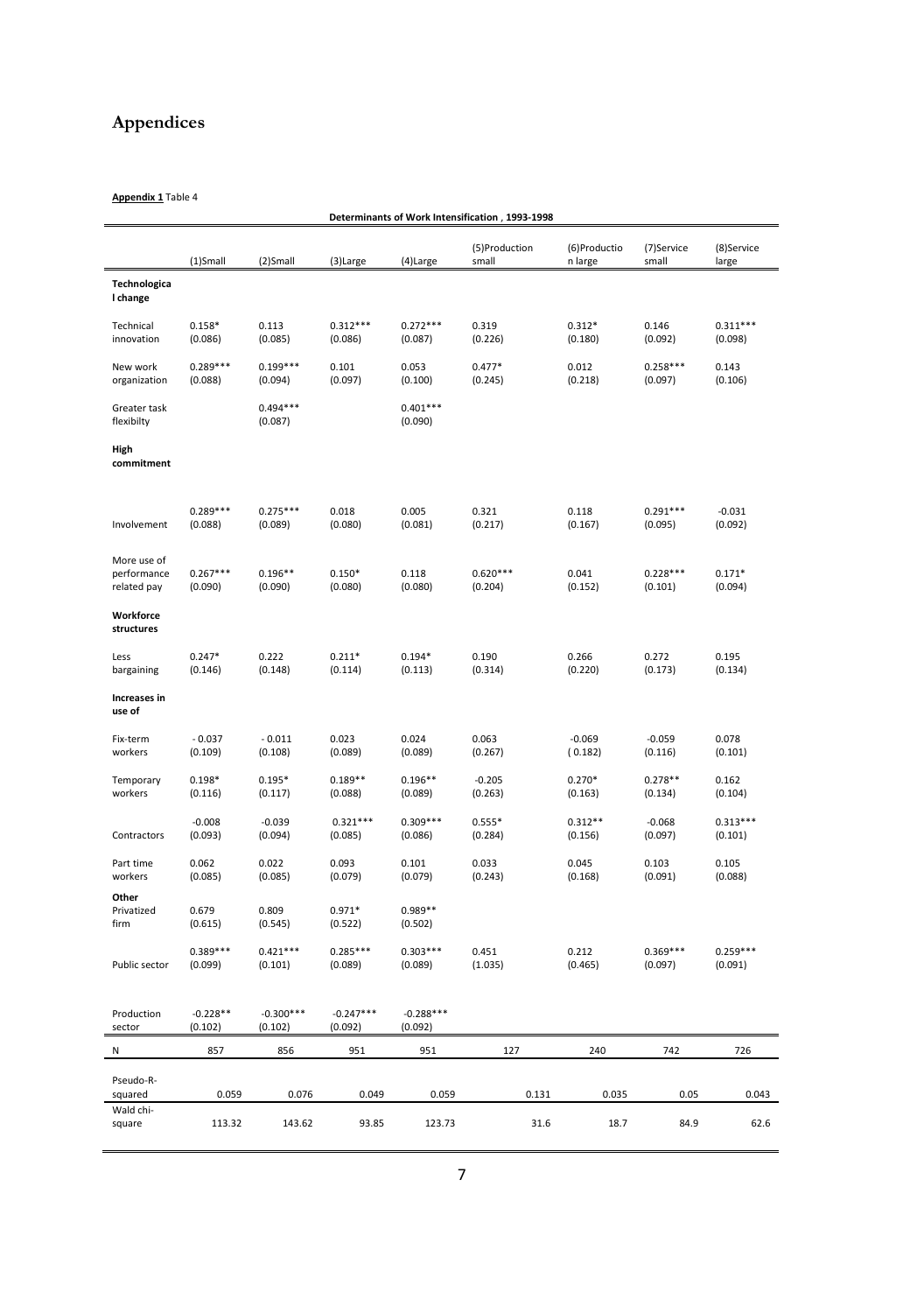## **Appendices**

**Appendix 1** Table 4

|                                           | (1)Small              | (2)Small               | (3)Large               | (4)Large               | (5)Production<br>small | (6)Productio<br>n large | (7)Service<br>small   | (8)Service<br>large   |
|-------------------------------------------|-----------------------|------------------------|------------------------|------------------------|------------------------|-------------------------|-----------------------|-----------------------|
| Technologica<br>I change                  |                       |                        |                        |                        |                        |                         |                       |                       |
| Technical<br>innovation                   | $0.158*$<br>(0.086)   | 0.113<br>(0.085)       | $0.312***$<br>(0.086)  | $0.272***$<br>(0.087)  | 0.319<br>(0.226)       | $0.312*$<br>(0.180)     | 0.146<br>(0.092)      | $0.311***$<br>(0.098) |
| New work<br>organization                  | $0.289***$<br>(0.088) | $0.199***$<br>(0.094)  | 0.101<br>(0.097)       | 0.053<br>(0.100)       | $0.477*$<br>(0.245)    | 0.012<br>(0.218)        | $0.258***$<br>(0.097) | 0.143<br>(0.106)      |
| Greater task<br>flexibilty                |                       | $0.494***$<br>(0.087)  |                        | $0.401***$<br>(0.090)  |                        |                         |                       |                       |
| High<br>commitment                        |                       |                        |                        |                        |                        |                         |                       |                       |
| Involvement                               | $0.289***$<br>(0.088) | $0.275***$<br>(0.089)  | 0.018<br>(0.080)       | 0.005<br>(0.081)       | 0.321<br>(0.217)       | 0.118<br>(0.167)        | $0.291***$<br>(0.095) | $-0.031$<br>(0.092)   |
| More use of<br>performance<br>related pay | $0.267***$<br>(0.090) | $0.196**$<br>(0.090)   | $0.150*$<br>(0.080)    | 0.118<br>(0.080)       | $0.620***$<br>(0.204)  | 0.041<br>(0.152)        | $0.228***$<br>(0.101) | $0.171*$<br>(0.094)   |
| Workforce<br>structures                   |                       |                        |                        |                        |                        |                         |                       |                       |
| Less<br>bargaining                        | $0.247*$<br>(0.146)   | 0.222<br>(0.148)       | $0.211*$<br>(0.114)    | $0.194*$<br>(0.113)    | 0.190<br>(0.314)       | 0.266<br>(0.220)        | 0.272<br>(0.173)      | 0.195<br>(0.134)      |
| Increases in<br>use of                    |                       |                        |                        |                        |                        |                         |                       |                       |
| Fix-term<br>workers                       | $-0.037$<br>(0.109)   | $-0.011$<br>(0.108)    | 0.023<br>(0.089)       | 0.024<br>(0.089)       | 0.063<br>(0.267)       | $-0.069$<br>(0.182)     | $-0.059$<br>(0.116)   | 0.078<br>(0.101)      |
| Temporary<br>workers                      | $0.198*$<br>(0.116)   | $0.195*$<br>(0.117)    | $0.189**$<br>(0.088)   | $0.196**$<br>(0.089)   | $-0.205$<br>(0.263)    | $0.270*$<br>(0.163)     | $0.278**$<br>(0.134)  | 0.162<br>(0.104)      |
| Contractors                               | $-0.008$<br>(0.093)   | $-0.039$<br>(0.094)    | $0.321***$<br>(0.085)  | $0.309***$<br>(0.086)  | $0.555*$<br>(0.284)    | $0.312**$<br>(0.156)    | $-0.068$<br>(0.097)   | $0.313***$<br>(0.101) |
| Part time<br>workers                      | 0.062<br>(0.085)      | 0.022<br>(0.085)       | 0.093<br>(0.079)       | 0.101<br>(0.079)       | 0.033<br>(0.243)       | 0.045<br>(0.168)        | 0.103<br>(0.091)      | 0.105<br>(0.088)      |
| Other<br>Privatized<br>firm               | 0.679<br>(0.615)      | 0.809<br>(0.545)       | $0.971*$<br>(0.522)    | $0.989**$<br>(0.502)   |                        |                         |                       |                       |
| Public sector                             | $0.389***$<br>(0.099) | $0.421***$<br>(0.101)  | $0.285***$<br>(0.089)  | $0.303***$<br>(0.089)  | 0.451<br>(1.035)       | 0.212<br>(0.465)        | $0.369***$<br>(0.097) | $0.259***$<br>(0.091) |
| Production<br>sector                      | $-0.228**$<br>(0.102) | $-0.300***$<br>(0.102) | $-0.247***$<br>(0.092) | $-0.288***$<br>(0.092) |                        |                         |                       |                       |
| N                                         | 857                   | 856                    | 951                    | 951                    | 127                    | 240                     | 742                   | 726                   |
| Pseudo-R-<br>squared                      | 0.059                 | 0.076                  | 0.049                  | 0.059                  | 0.131                  | 0.035                   | 0.05                  | 0.043                 |
| Wald chi-                                 |                       | 143.62                 | 93.85                  | 123.73                 | 31.6                   | 18.7                    |                       |                       |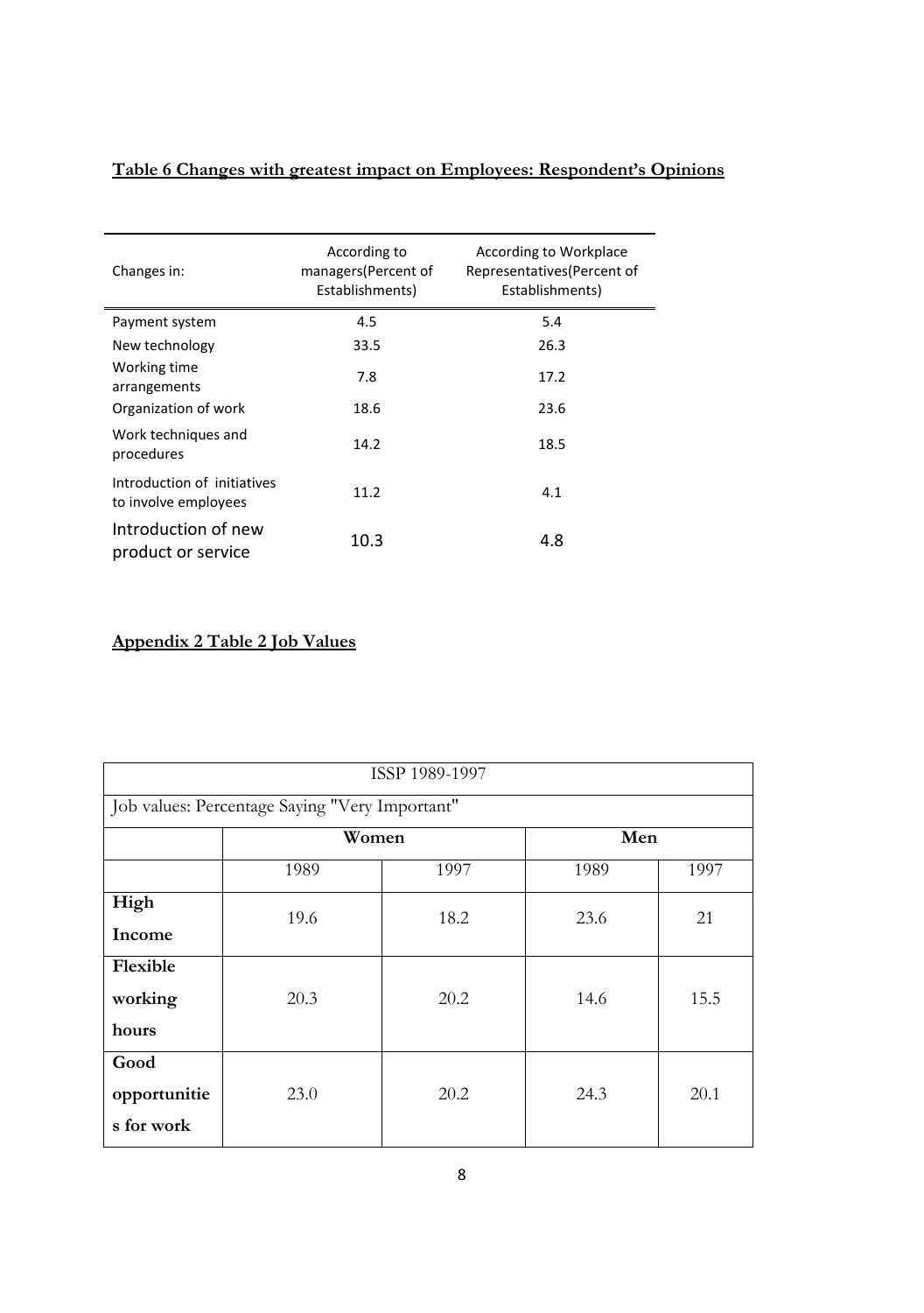| Changes in:                                         | According to<br>managers(Percent of<br>Establishments) | According to Workplace<br>Representatives (Percent of<br>Establishments) |
|-----------------------------------------------------|--------------------------------------------------------|--------------------------------------------------------------------------|
| Payment system                                      | 4.5                                                    | 5.4                                                                      |
| New technology                                      | 33.5                                                   | 26.3                                                                     |
| Working time<br>arrangements                        | 7.8                                                    | 17.2                                                                     |
| Organization of work                                | 18.6                                                   | 23.6                                                                     |
| Work techniques and<br>procedures                   | 14.2                                                   | 18.5                                                                     |
| Introduction of initiatives<br>to involve employees | 11.2                                                   | 4.1                                                                      |
| Introduction of new<br>product or service           | 10.3                                                   | 4.8                                                                      |

**Table 6 Changes with greatest impact on Employees: Respondent's Opinions** 

#### **Appendix 2 Table 2 Job Values**

| ISSP 1989-1997 |                                                |              |      |      |  |  |
|----------------|------------------------------------------------|--------------|------|------|--|--|
|                | Job values: Percentage Saying "Very Important" |              |      |      |  |  |
|                |                                                | Men<br>Women |      |      |  |  |
|                | 1989                                           | 1997         | 1989 | 1997 |  |  |
| High           | 19.6                                           | 18.2         | 23.6 | 21   |  |  |
| Income         |                                                |              |      |      |  |  |
| Flexible       |                                                |              |      |      |  |  |
| working        | 20.3                                           | 20.2         | 14.6 | 15.5 |  |  |
| hours          |                                                |              |      |      |  |  |
| Good           |                                                |              |      |      |  |  |
| opportunitie   | 23.0                                           | 20.2         | 24.3 | 20.1 |  |  |
| s for work     |                                                |              |      |      |  |  |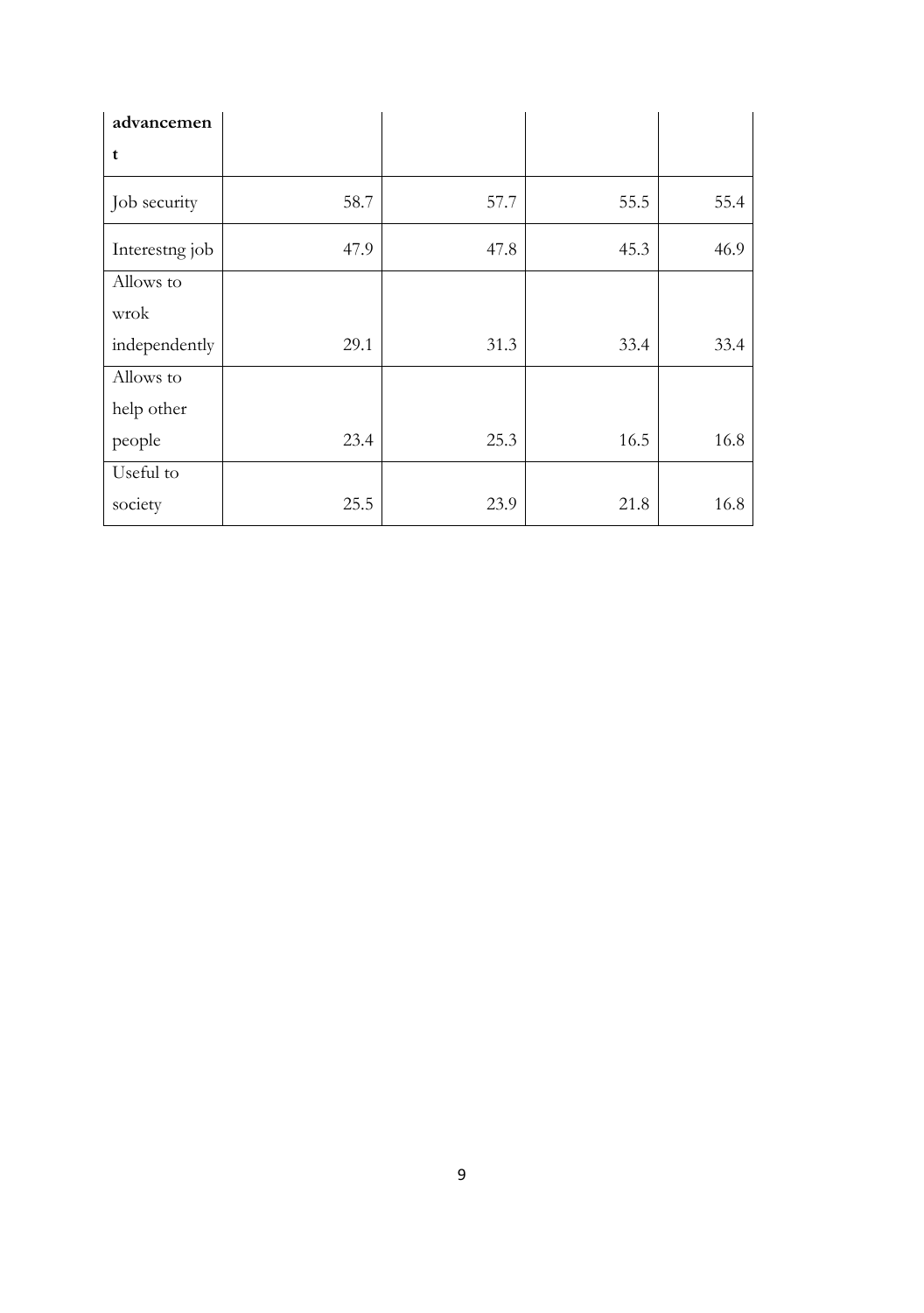| advancemen     |      |      |      |      |
|----------------|------|------|------|------|
| t              |      |      |      |      |
| Job security   | 58.7 | 57.7 | 55.5 | 55.4 |
| Interestng job | 47.9 | 47.8 | 45.3 | 46.9 |
| Allows to      |      |      |      |      |
| wrok           |      |      |      |      |
| independently  | 29.1 | 31.3 | 33.4 | 33.4 |
| Allows to      |      |      |      |      |
| help other     |      |      |      |      |
| people         | 23.4 | 25.3 | 16.5 | 16.8 |
| Useful to      |      |      |      |      |
| society        | 25.5 | 23.9 | 21.8 | 16.8 |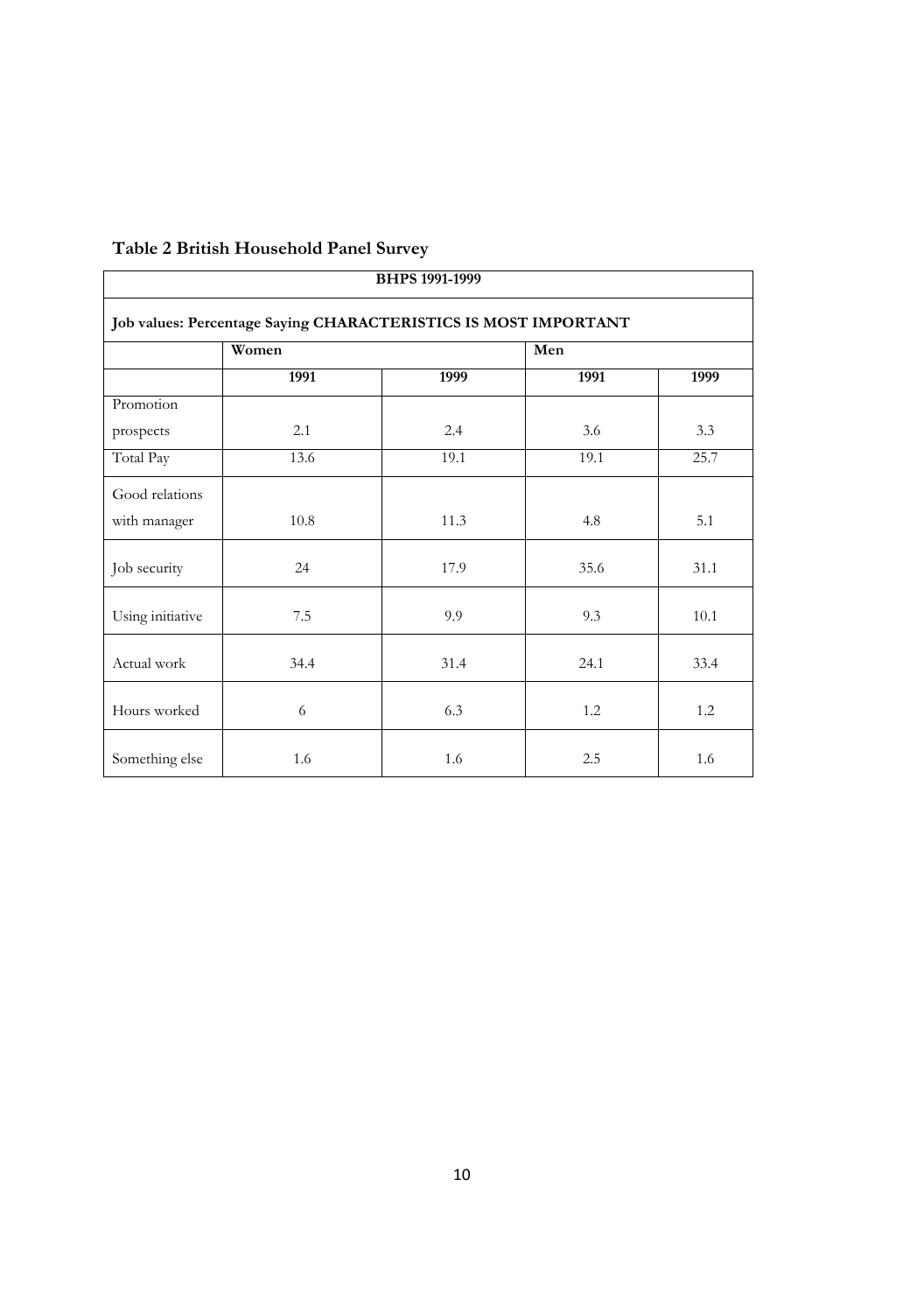| <b>BHPS 1991-1999</b> |                                                                 |      |      |      |  |
|-----------------------|-----------------------------------------------------------------|------|------|------|--|
|                       | Job values: Percentage Saying CHARACTERISTICS IS MOST IMPORTANT |      |      |      |  |
|                       | Women                                                           |      | Men  |      |  |
|                       | 1991                                                            | 1999 | 1991 | 1999 |  |
| Promotion             |                                                                 |      |      |      |  |
| prospects             | 2.1                                                             | 2.4  | 3.6  | 3.3  |  |
| Total Pay             | 13.6                                                            | 19.1 | 19.1 | 25.7 |  |
| Good relations        |                                                                 |      |      |      |  |
| with manager          | 10.8                                                            | 11.3 | 4.8  | 5.1  |  |
| Job security          | 24                                                              | 17.9 | 35.6 | 31.1 |  |
| Using initiative      | 7.5                                                             | 9.9  | 9.3  | 10.1 |  |
| Actual work           | 34.4                                                            | 31.4 | 24.1 | 33.4 |  |
| Hours worked          | 6                                                               | 6.3  | 1.2  | 1.2  |  |
| Something else        | 1.6                                                             | 1.6  | 2.5  | 1.6  |  |

#### **Table 2 British Household Panel Survey**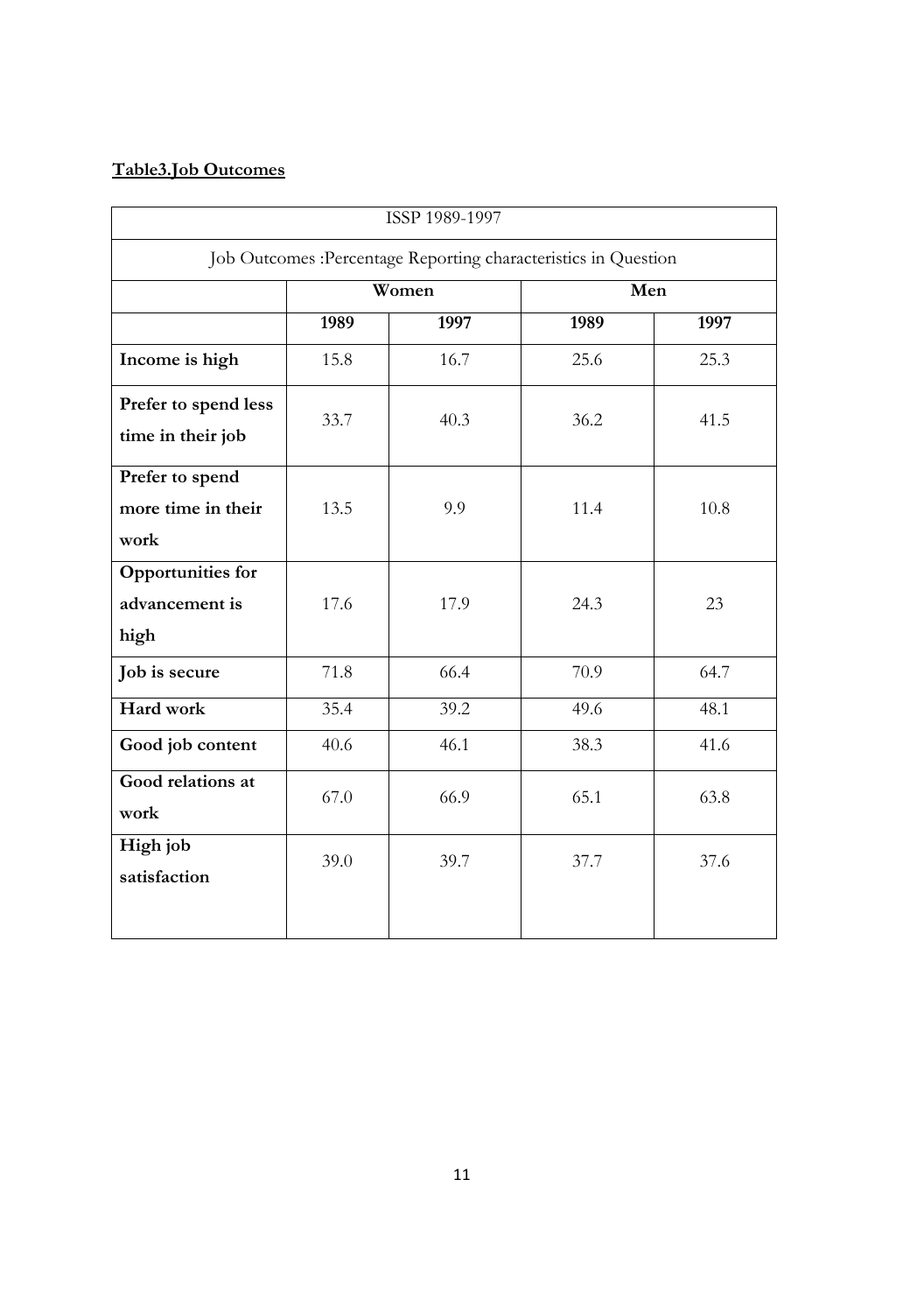#### **Table3.Job Outcomes**

| ISSP 1989-1997                                     |      |       |                                                                 |      |  |
|----------------------------------------------------|------|-------|-----------------------------------------------------------------|------|--|
|                                                    |      |       | Job Outcomes : Percentage Reporting characteristics in Question |      |  |
|                                                    |      | Women | Men                                                             |      |  |
|                                                    | 1989 | 1997  | 1989                                                            | 1997 |  |
| Income is high                                     | 15.8 | 16.7  | 25.6                                                            | 25.3 |  |
| Prefer to spend less<br>time in their job          | 33.7 | 40.3  | 36.2                                                            | 41.5 |  |
| Prefer to spend<br>more time in their<br>work      | 13.5 | 9.9   | 11.4                                                            | 10.8 |  |
| <b>Opportunities for</b><br>advancement is<br>high | 17.6 | 17.9  | 24.3                                                            | 23   |  |
| Job is secure                                      | 71.8 | 66.4  | 70.9                                                            | 64.7 |  |
| Hard work                                          | 35.4 | 39.2  | 49.6                                                            | 48.1 |  |
| Good job content                                   | 40.6 | 46.1  | 38.3                                                            | 41.6 |  |
| Good relations at<br>work                          | 67.0 | 66.9  | 65.1                                                            | 63.8 |  |
| High job<br>satisfaction                           | 39.0 | 39.7  | 37.7                                                            | 37.6 |  |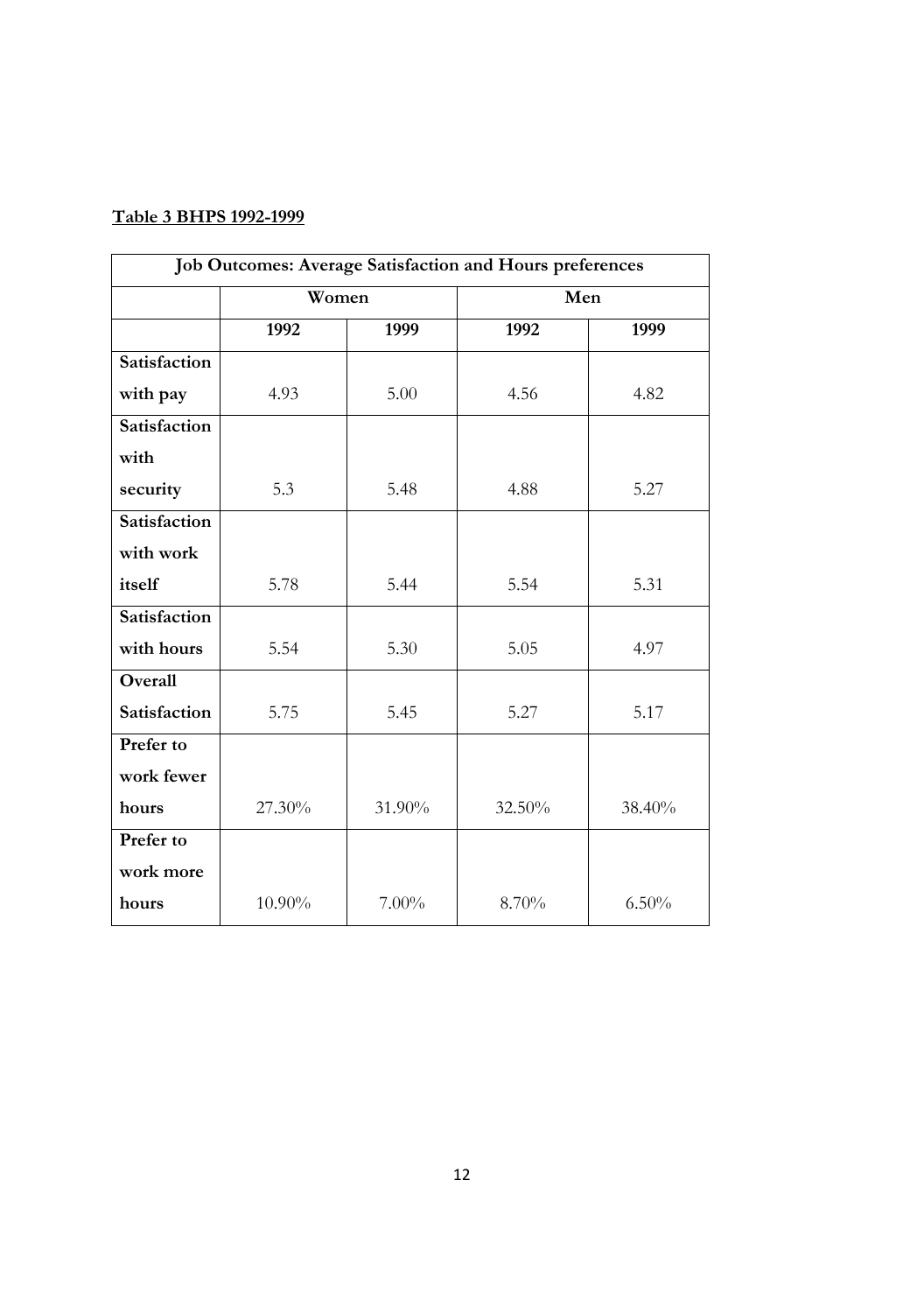#### **Table 3 BHPS 1992-1999**

| Job Outcomes: Average Satisfaction and Hours preferences |        |          |        |        |  |
|----------------------------------------------------------|--------|----------|--------|--------|--|
|                                                          | Women  |          | Men    |        |  |
|                                                          | 1992   | 1999     | 1992   | 1999   |  |
| Satisfaction                                             |        |          |        |        |  |
| with pay                                                 | 4.93   | 5.00     | 4.56   | 4.82   |  |
| Satisfaction                                             |        |          |        |        |  |
| with                                                     |        |          |        |        |  |
| security                                                 | 5.3    | 5.48     | 4.88   | 5.27   |  |
| Satisfaction                                             |        |          |        |        |  |
| with work                                                |        |          |        |        |  |
| itself                                                   | 5.78   | 5.44     | 5.54   | 5.31   |  |
| Satisfaction                                             |        |          |        |        |  |
| with hours                                               | 5.54   | 5.30     | 5.05   | 4.97   |  |
| Overall                                                  |        |          |        |        |  |
| Satisfaction                                             | 5.75   | 5.45     | 5.27   | 5.17   |  |
| Prefer to                                                |        |          |        |        |  |
| work fewer                                               |        |          |        |        |  |
| hours                                                    | 27.30% | 31.90%   | 32.50% | 38.40% |  |
| Prefer to                                                |        |          |        |        |  |
| work more                                                |        |          |        |        |  |
| hours                                                    | 10.90% | $7.00\%$ | 8.70%  | 6.50%  |  |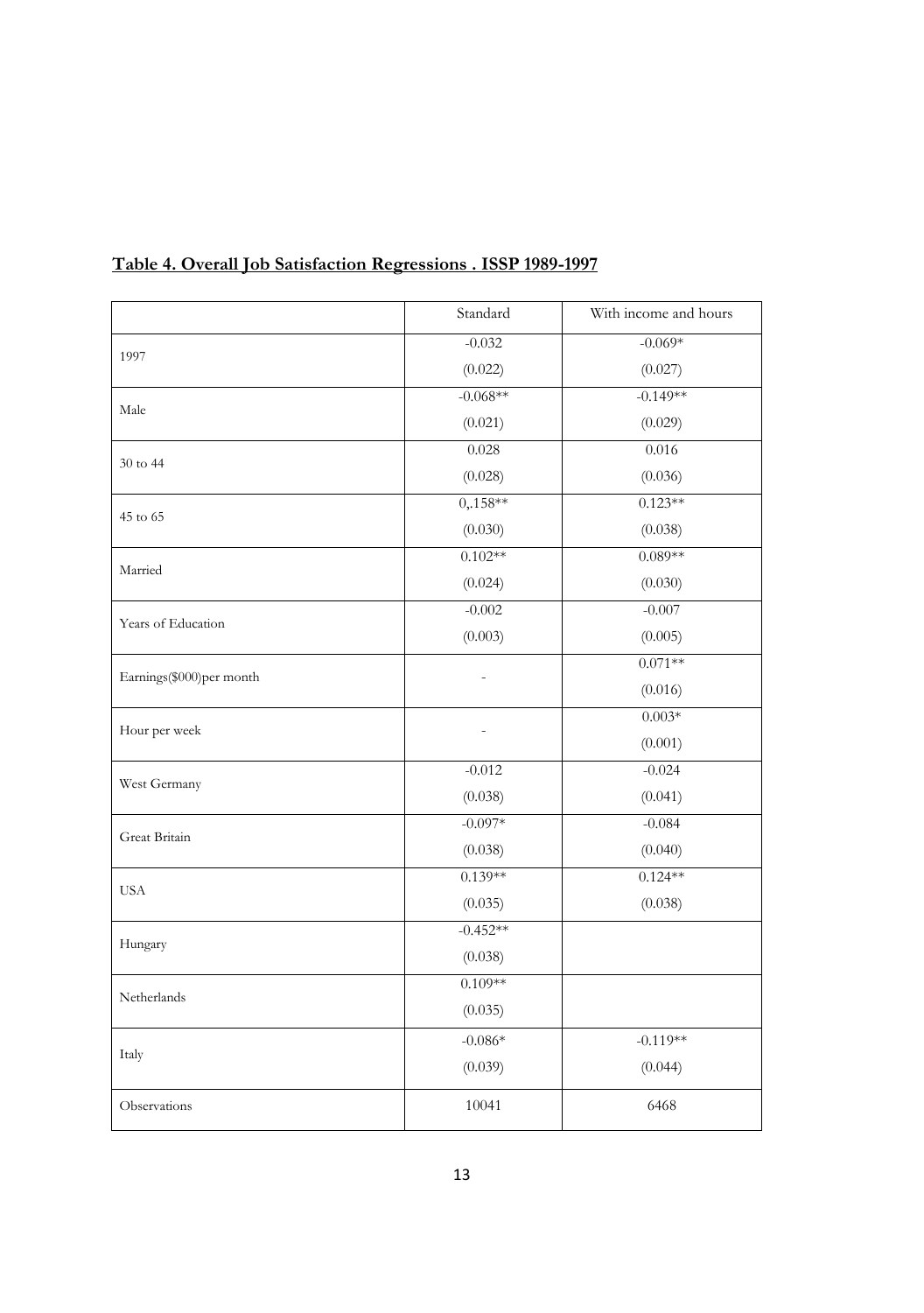|                          | Standard   | With income and hours |
|--------------------------|------------|-----------------------|
| 1997                     | $-0.032$   | $-0.069*$             |
|                          | (0.022)    | (0.027)               |
|                          | $-0.068**$ | $-0.149**$            |
| Male                     | (0.021)    | (0.029)               |
|                          | 0.028      | 0.016                 |
| 30 to 44                 | (0.028)    | (0.036)               |
|                          | $0,158**$  | $0.123**$             |
| 45 to 65                 | (0.030)    | (0.038)               |
|                          | $0.102**$  | $0.089**$             |
| Married                  | (0.024)    | (0.030)               |
|                          | $-0.002$   | $-0.007$              |
| Years of Education       | (0.003)    | (0.005)               |
|                          |            | $0.071**$             |
| Earnings(\$000)per month |            | (0.016)               |
|                          |            | $0.003*$              |
| Hour per week            |            | (0.001)               |
|                          | $-0.012$   | $-0.024$              |
| West Germany             | (0.038)    | (0.041)               |
|                          | $-0.097*$  | $-0.084$              |
| Great Britain            | (0.038)    | (0.040)               |
| <b>USA</b>               | $0.139**$  | $0.124**$             |
|                          | (0.035)    | (0.038)               |
|                          | $-0.452**$ |                       |
| Hungary                  | (0.038)    |                       |
|                          | $0.109**$  |                       |
| Netherlands              | (0.035)    |                       |
|                          | -0.086*    | $-0.119**$            |
| Italy                    | (0.039)    | (0.044)               |
| Observations             | 10041      | 6468                  |

## **Table 4. Overall Job Satisfaction Regressions . ISSP 1989-1997**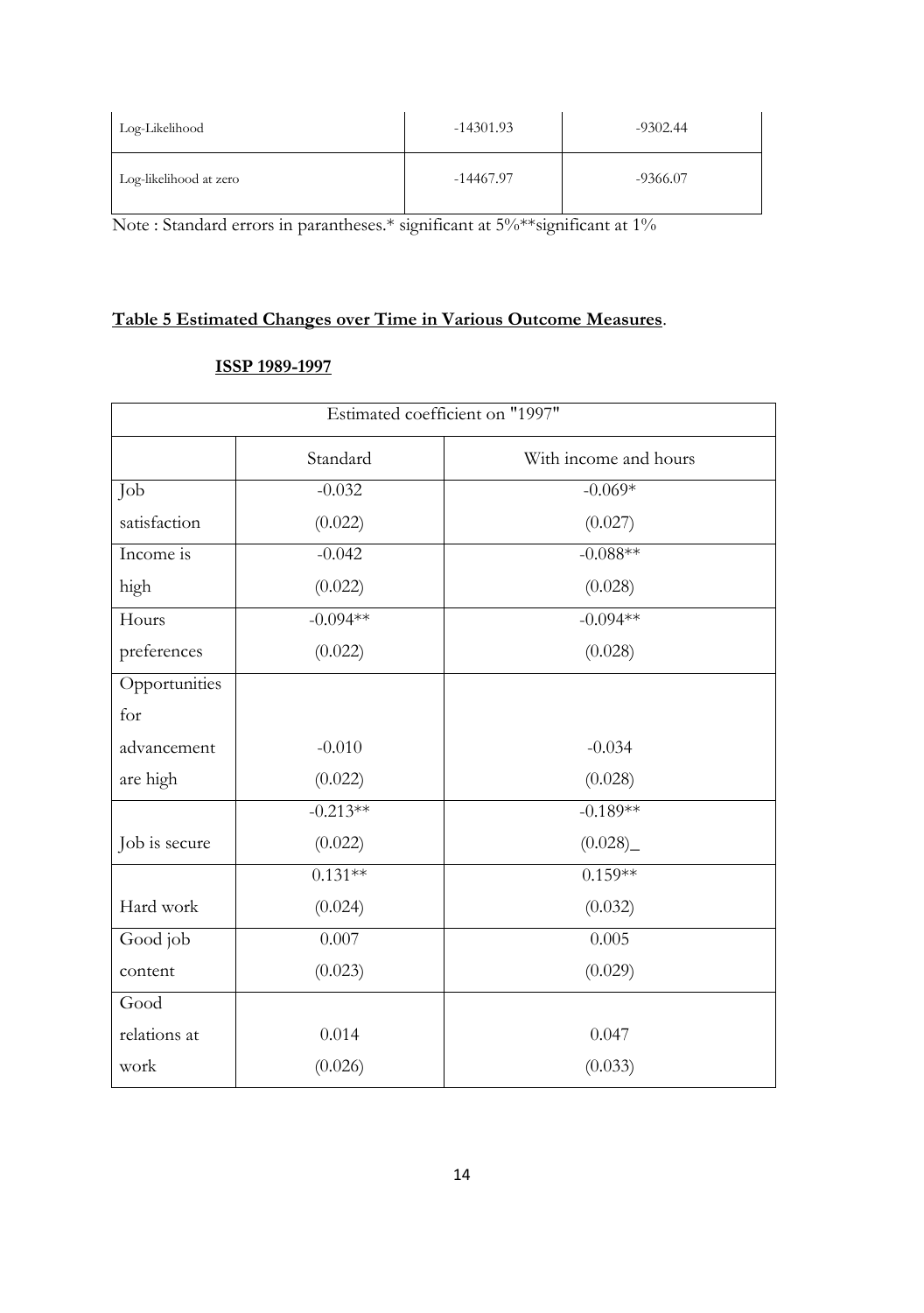| Log-Likelihood         | $-14301.93$ | $-9302.44$ |
|------------------------|-------------|------------|
| Log-likelihood at zero | -14467.97   | $-9366.07$ |

Note : Standard errors in parantheses.\* significant at 5%\*\*significant at 1%

### **Table 5 Estimated Changes over Time in Various Outcome Measures**.

#### **ISSP 1989-1997**

| Estimated coefficient on "1997" |            |                       |  |  |
|---------------------------------|------------|-----------------------|--|--|
|                                 | Standard   | With income and hours |  |  |
| Job                             | $-0.032$   | $-0.069*$             |  |  |
| satisfaction                    | (0.022)    | (0.027)               |  |  |
| Income is                       | $-0.042$   | $-0.088**$            |  |  |
| high                            | (0.022)    | (0.028)               |  |  |
| Hours                           | $-0.094**$ | $-0.094**$            |  |  |
| preferences                     | (0.022)    | (0.028)               |  |  |
| Opportunities                   |            |                       |  |  |
| for                             |            |                       |  |  |
| advancement                     | $-0.010$   | $-0.034$              |  |  |
| are high                        | (0.022)    | (0.028)               |  |  |
|                                 | $-0.213**$ | $-0.189**$            |  |  |
| Job is secure                   | (0.022)    | (0.028)               |  |  |
|                                 | $0.131**$  | $0.159**$             |  |  |
| Hard work                       | (0.024)    | (0.032)               |  |  |
| Good job                        | 0.007      | 0.005                 |  |  |
| content                         | (0.023)    | (0.029)               |  |  |
| Good                            |            |                       |  |  |
| relations at                    | 0.014      | 0.047                 |  |  |
| work                            | (0.026)    | (0.033)               |  |  |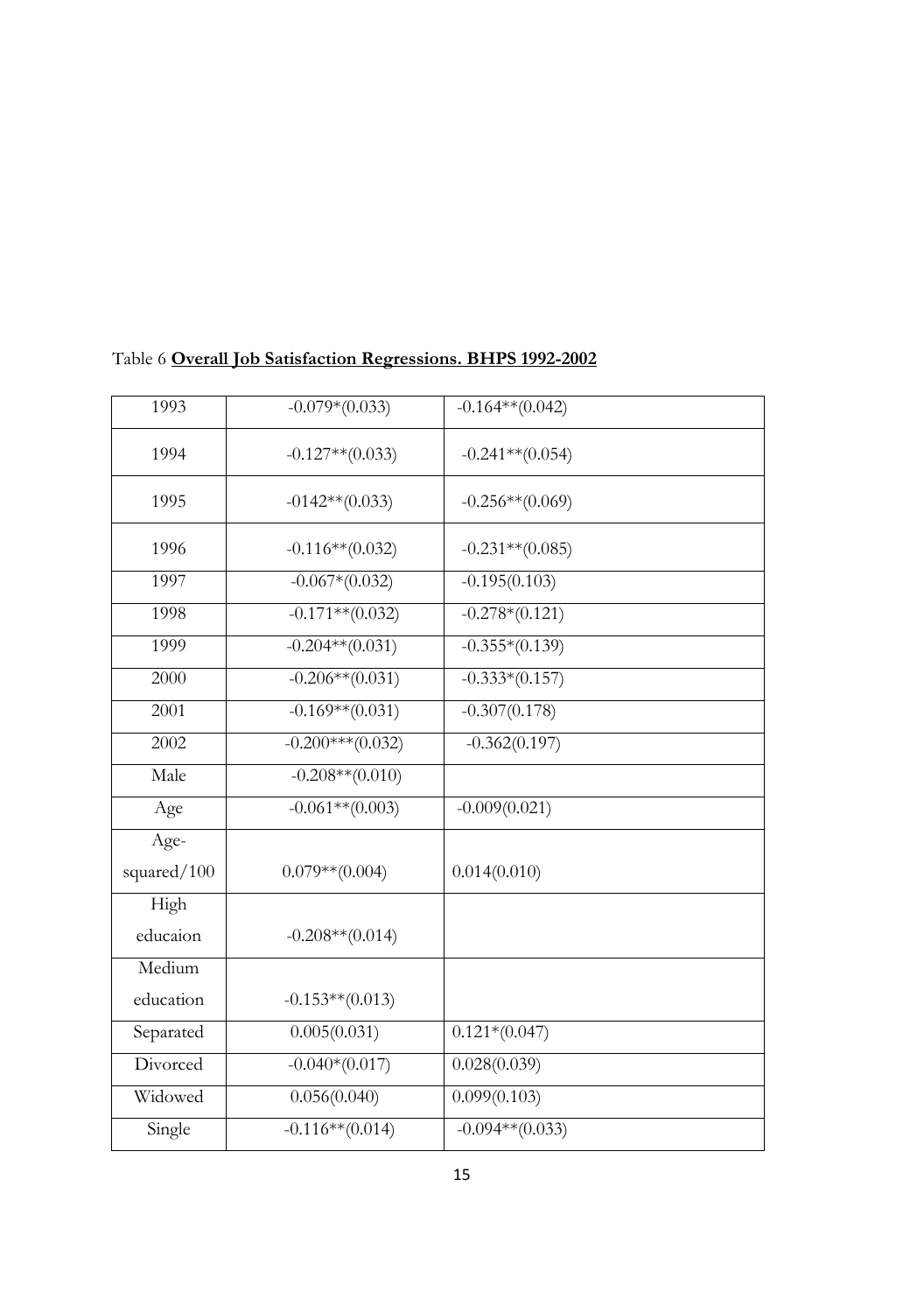| 1993        | $-0.079*(0.033)$   | $-0.164**$ (0.042) |
|-------------|--------------------|--------------------|
| 1994        | $-0.127**$ (0.033) | $-0.241**$ (0.054) |
| 1995        | $-0142**$ (0.033)  | $-0.256**$ (0.069) |
| 1996        | $-0.116**$ (0.032) | $-0.231**$ (0.085) |
| 1997        | $-0.067*(0.032)$   | $-0.195(0.103)$    |
| 1998        | $-0.171**$ (0.032) | $-0.278*(0.121)$   |
| 1999        | $-0.204**$ (0.031) | $-0.355*(0.139)$   |
| 2000        | $-0.206**$ (0.031) | $-0.333*(0.157)$   |
| 2001        | $-0.169**$ (0.031) | $-0.307(0.178)$    |
| 2002        | $-0.200***(0.032)$ | $-0.362(0.197)$    |
| Male        | $-0.208**$ (0.010) |                    |
| Age         | $-0.061**$ (0.003) | $-0.009(0.021)$    |
| Age-        |                    |                    |
| squared/100 | $0.079**$ (0.004)  | 0.014(0.010)       |
| High        |                    |                    |
| educaion    | $-0.208**$ (0.014) |                    |
| Medium      |                    |                    |
| education   | $-0.153**$ (0.013) |                    |
| Separated   | 0.005(0.031)       | $0.121*(0.047)$    |
| Divorced    | $-0.040*(0.017)$   | 0.028(0.039)       |
| Widowed     | 0.056(0.040)       | 0.099(0.103)       |
| Single      | $-0.116**$ (0.014) | $-0.094**$ (0.033) |

### Table 6 **Overall Job Satisfaction Regressions. BHPS 1992-2002**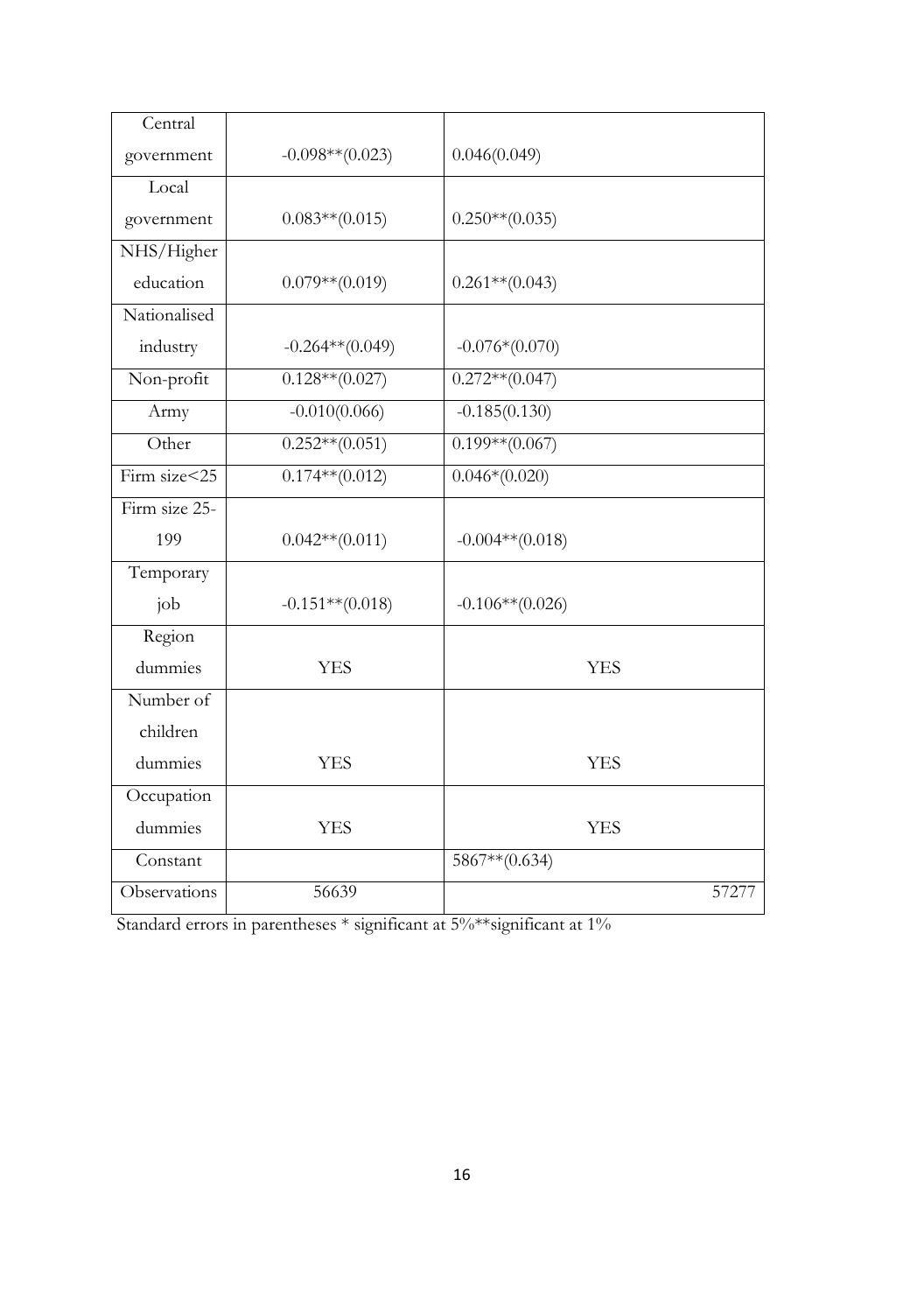| Central          |                    |                    |
|------------------|--------------------|--------------------|
| government       | $-0.098**$ (0.023) | 0.046(0.049)       |
| Local            |                    |                    |
| government       | $0.083**$ (0.015)  | $0.250**$ (0.035)  |
| NHS/Higher       |                    |                    |
| education        | $0.079**$ (0.019)  | $0.261**$ (0.043)  |
| Nationalised     |                    |                    |
| industry         | $-0.264**$ (0.049) | $-0.076*(0.070)$   |
| Non-profit       | $0.128**$ (0.027)  | $0.272**$ (0.047)  |
| Army             | $-0.010(0.066)$    | $-0.185(0.130)$    |
| Other            | $0.252**$ (0.051)  | $0.199**$ (0.067)  |
| Firm size $<$ 25 | $0.174**$ (0.012)  | $0.046*(0.020)$    |
| Firm size 25-    |                    |                    |
| 199              | $0.042**$ (0.011)  | $-0.004**$ (0.018) |
| Temporary        |                    |                    |
| job              | $-0.151**$ (0.018) | $-0.106**$ (0.026) |
| Region           |                    |                    |
| dummies          | <b>YES</b>         | <b>YES</b>         |
| Number of        |                    |                    |
| children         |                    |                    |
| dummies          | <b>YES</b>         | <b>YES</b>         |
| Occupation       |                    |                    |
| dummies          | <b>YES</b>         | <b>YES</b>         |
| Constant         |                    | $5867**$ (0.634)   |
| Observations     | 56639              | 57277              |

Standard errors in parentheses \* significant at 5%\*\*significant at 1%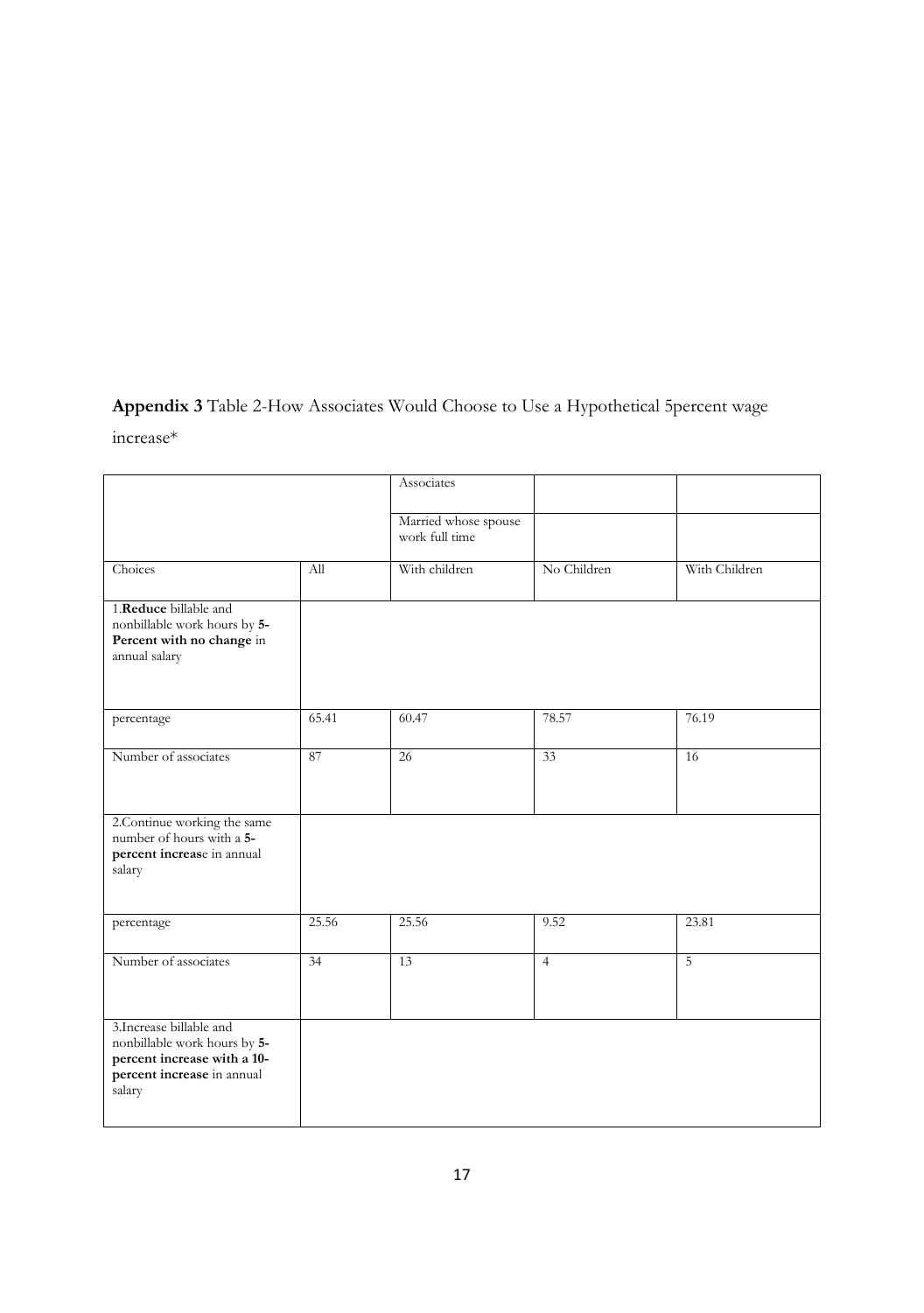# **Appendix 3** Table 2-How Associates Would Choose to Use a Hypothetical 5percent wage

increase\*

|                                                                                                                                 |       | Associates                             |                |                |
|---------------------------------------------------------------------------------------------------------------------------------|-------|----------------------------------------|----------------|----------------|
|                                                                                                                                 |       | Married whose spouse<br>work full time |                |                |
| Choices                                                                                                                         | All   | With children                          | No Children    | With Children  |
| 1.Reduce billable and<br>nonbillable work hours by 5-<br>Percent with no change in<br>annual salary                             |       |                                        |                |                |
| percentage                                                                                                                      | 65.41 | 60.47                                  | 78.57          | 76.19          |
| Number of associates                                                                                                            | 87    | 26                                     | 33             | 16             |
| 2. Continue working the same<br>number of hours with a 5-<br>percent increase in annual<br>salary                               |       |                                        |                |                |
| percentage                                                                                                                      | 25.56 | 25.56                                  | 9.52           | 23.81          |
| Number of associates                                                                                                            | 34    | 13                                     | $\overline{4}$ | $\overline{5}$ |
| 3. Increase billable and<br>nonbillable work hours by 5-<br>percent increase with a 10-<br>percent increase in annual<br>salary |       |                                        |                |                |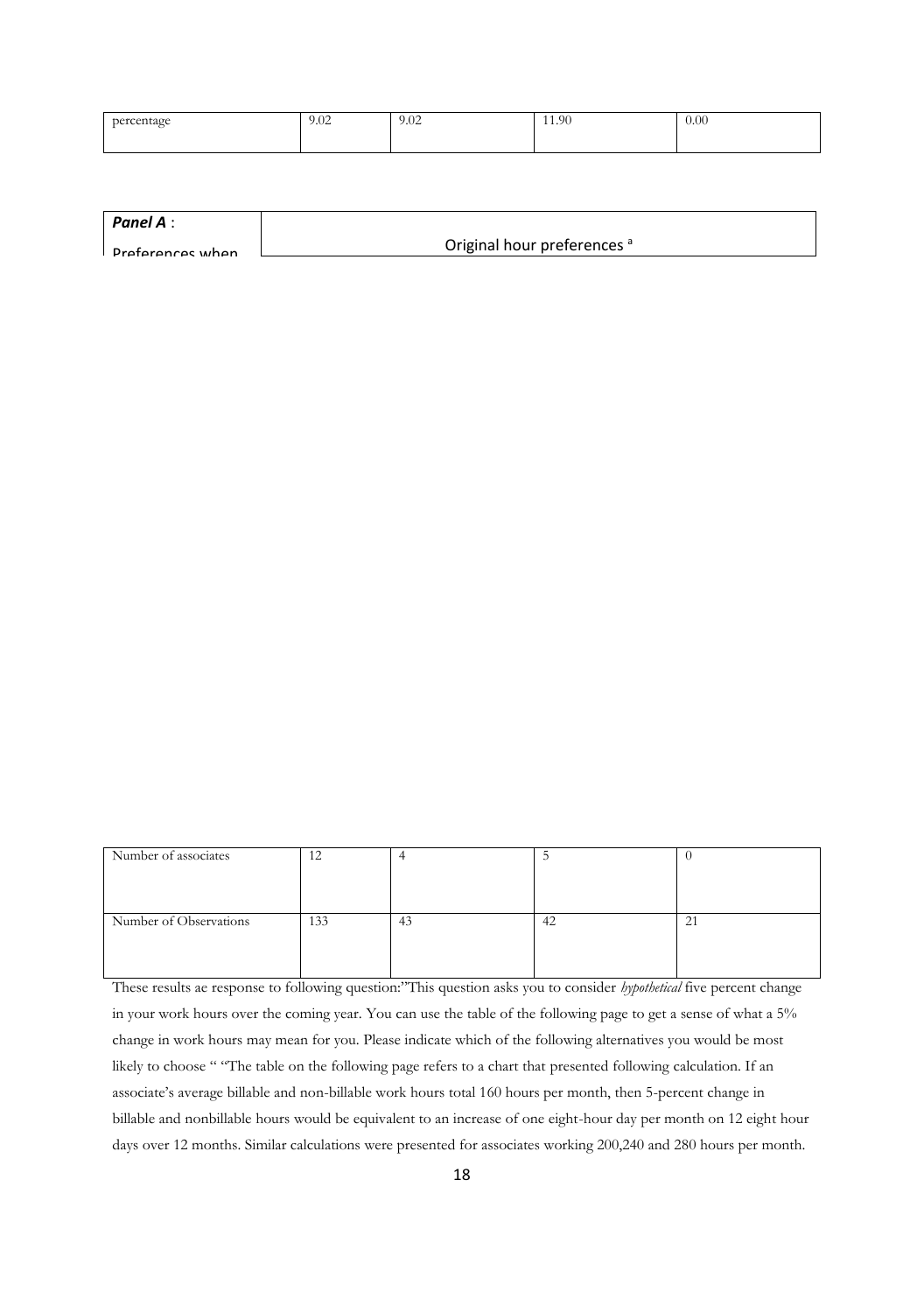| percentage<br>$\tilde{}$ | 9.02 | 9.02 | 11.90 | 0.00 |
|--------------------------|------|------|-------|------|
|                          |      |      |       |      |
|                          |      |      |       |      |

| Panel A:                |                                        |
|-------------------------|----------------------------------------|
| <b>Drafarances</b> when | Original hour preferences <sup>a</sup> |
|                         |                                        |

| Number of associates   | 12  |         |    |                           |
|------------------------|-----|---------|----|---------------------------|
|                        |     |         |    |                           |
|                        |     |         |    |                           |
|                        |     |         |    |                           |
| Number of Observations | 133 | ຸ<br>43 | 42 | $^{\prime}$<br>$\angle$ 1 |
|                        |     |         |    |                           |
|                        |     |         |    |                           |

 $\overline{\phantom{a}}$ 

These results ae response to following question:"This question asks you to consider *hypothetical* five percent change in your work hours over the coming year. You can use the table of the following page to get a sense of what a 5% change in work hours may mean for you. Please indicate which of the following alternatives you would be most likely to choose " "The table on the following page refers to a chart that presented following calculation. If an associate's average billable and non-billable work hours total 160 hours per month, then 5-percent change in billable and nonbillable hours would be equivalent to an increase of one eight-hour day per month on 12 eight hour days over 12 months. Similar calculations were presented for associates working 200,240 and 280 hours per month.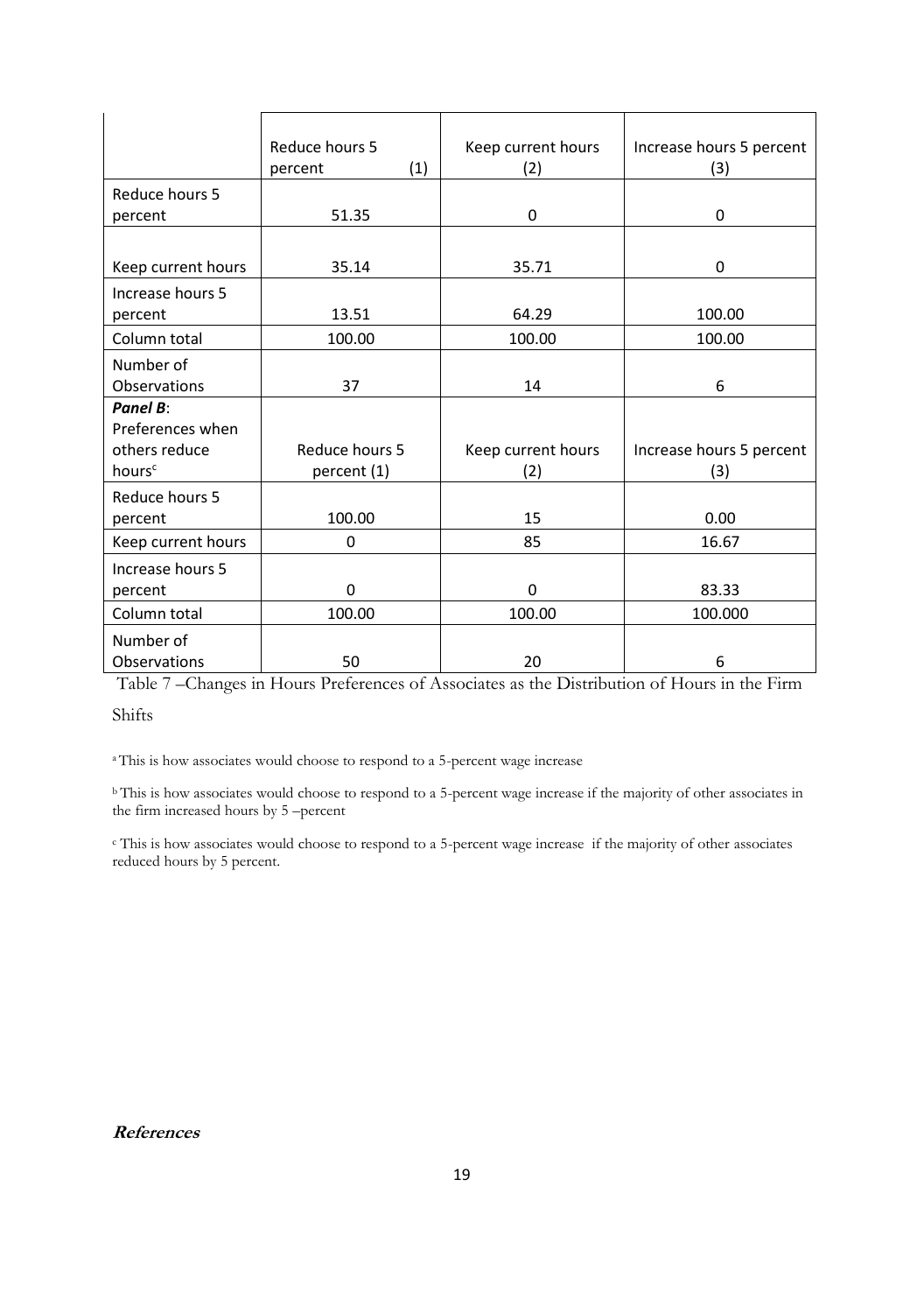|                    | Reduce hours 5 | Keep current hours | Increase hours 5 percent |
|--------------------|----------------|--------------------|--------------------------|
|                    | (1)<br>percent | (2)                | (3)                      |
| Reduce hours 5     |                |                    |                          |
| percent            | 51.35          | 0                  | 0                        |
|                    |                |                    |                          |
| Keep current hours | 35.14          | 35.71              | 0                        |
| Increase hours 5   |                |                    |                          |
| percent            | 13.51          | 64.29              | 100.00                   |
| Column total       | 100.00         | 100.00             | 100.00                   |
| Number of          |                |                    |                          |
| Observations       | 37             | 14                 | 6                        |
| Panel B:           |                |                    |                          |
| Preferences when   |                |                    |                          |
| others reduce      | Reduce hours 5 | Keep current hours | Increase hours 5 percent |
| hours <sup>c</sup> | percent (1)    | (2)                | (3)                      |
| Reduce hours 5     |                |                    |                          |
| percent            | 100.00         | 15                 | 0.00                     |
| Keep current hours | $\Omega$       | 85                 | 16.67                    |
| Increase hours 5   |                |                    |                          |
| percent            | 0              | $\mathbf 0$        | 83.33                    |
| Column total       | 100.00         | 100.00             | 100.000                  |
| Number of          |                |                    |                          |
| Observations       | 50             | 20                 | 6                        |

Table 7 –Changes in Hours Preferences of Associates as the Distribution of Hours in the Firm

Shifts

<sup>a</sup>This is how associates would choose to respond to a 5-percent wage increase

<sup>b</sup>This is how associates would choose to respond to a 5-percent wage increase if the majority of other associates in the firm increased hours by 5 –percent

c This is how associates would choose to respond to a 5-percent wage increase if the majority of other associates reduced hours by 5 percent.

**References**